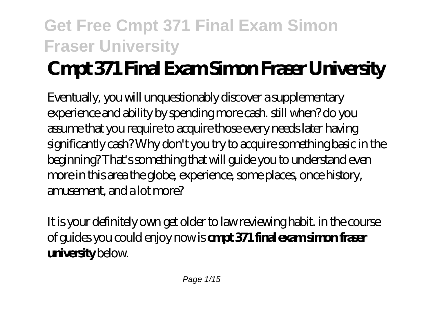# **Cmpt 371 Final Exam Simon Fraser University**

Eventually, you will unquestionably discover a supplementary experience and ability by spending more cash. still when? do you assume that you require to acquire those every needs later having significantly cash? Why don't you try to acquire something basic in the beginning? That's something that will guide you to understand even more in this area the globe, experience, some places, once history, amusement, and a lot more?

It is your definitely own get older to law reviewing habit. in the course of guides you could enjoy now is **cmpt 371 final exam simon fraser university** below.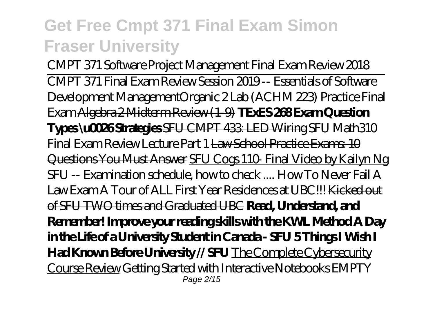*CMPT 371 Software Project Management Final Exam Review 2018* CMPT 371 Final Exam Review Session 2019 -- Essentials of Software Development Management*Organic 2 Lab (ACHM 223) Practice Final Exam* Algebra 2 Midterm Review (1-9) **TExES 268 Exam Question Types \u0026 Strategies** SFU CMPT 433: LED Wiring SFU Math310 Final Exam Review Lecture Part 1 Law School Practice Exams: 10 Questions You Must Answer SFU Cogs 110- Final Video by Kailyn Ng SFU -- Examination schedule, how to check .... *How To Never Fail A Law Exam A Tour of ALL First Year Residences at UBC!!!* Kicked out of SFU TWO times and Graduated UBC **Read, Understand, and Remember! Improve your reading skills with the KWL Method A Day in the Life of a University Student in Canada - SFU 5 Things I Wish I Had Known Before University // SFU** The Complete Cybersecurity Course Review *Getting Started with Interactive Notebooks EMPTY* Page 2/15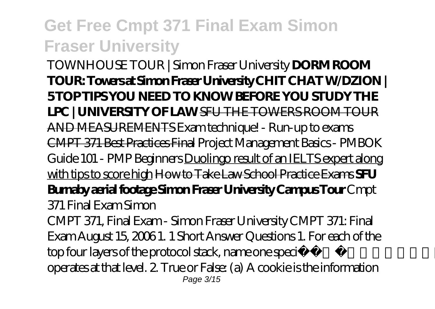*TOWNHOUSE TOUR | Simon Fraser University* **DORM ROOM TOUR: Towers at Simon Fraser University CHIT CHAT W/DZION | 5 TOP TIPS YOU NEED TO KNOW BEFORE YOU STUDY THE LPC | UNIVERSITY OF LAW** SFU THE TOWERS ROOM TOUR AND MEASUREMENTS Exam technique! - Run-up to exams CMPT 371 Best Practices Final Project Management Basics - PMBOK Guide 101 - PMP Beginners Duolingo result of an IELTS expert along with tips to score high How to Take Law School Practice Exams **SFU Burnaby aerial footage Simon Fraser University Campus Tour** *Cmpt 371 Final Exam Simon*

CMPT 371, Final Exam - Simon Fraser University CMPT 371: Final Exam August 15, 2006 1. 1 Short Answer Questions 1. For each of the top four layers of the protocol stack, name one specific protocol that operates at that level. 2. True or False: (a) A cookie is the information Page 3/15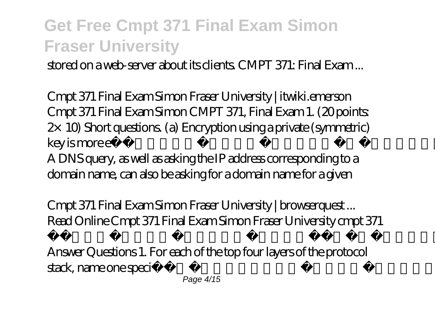stored on a web-server about its clients. CMPT 371: Final Exam ...

*Cmpt 371 Final Exam Simon Fraser University | itwiki.emerson* Cmpt 371 Final Exam Simon CMPT 371, Final Exam 1. (20 points:  $2\times$  10) Short questions. (a) Encryption using a private (symmetric) key is more e cient than using a public key system. True or false: (b) A DNS query, as well as asking the IP address corresponding to a domain name, can also be asking for a domain name for a given

*Cmpt 371 Final Exam Simon Fraser University | browserquest ...* Read Online Cmpt 371 Final Exam Simon Fraser University cmpt 371 final exam simon CMPT 371: Final Exam August 15, 2006 1. 1 Short Answer Questions 1. For each of the top four layers of the protocol stack, name one specific protocol that operates at that level. 2. True or Page 4/15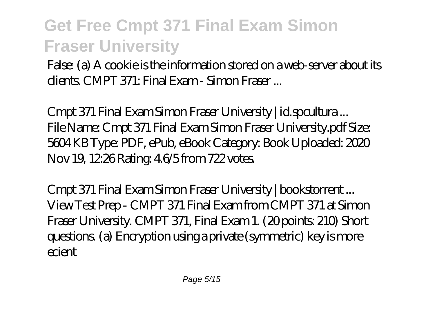False: (a) A cookie is the information stored on a web-server about its clients. CMPT 371: Final Exam - Simon Fraser ...

*Cmpt 371 Final Exam Simon Fraser University | id.spcultura ...* File Name: Cmpt 371 Final Exam Simon Fraser University.pdf Size: 5604 KB Type: PDF, ePub, eBook Category: Book Uploaded: 2020 Nov 19, 12:26 Rating: 4.6/5 from 722 votes.

*Cmpt 371 Final Exam Simon Fraser University | bookstorrent ...* View Test Prep - CMPT 371 Final Exam from CMPT 371 at Simon Fraser University. CMPT 371, Final Exam 1. (20 points: 210) Short questions. (a) Encryption using a private (symmetric) key is more ecient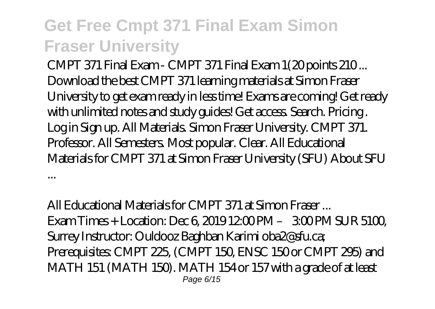*CMPT 371 Final Exam - CMPT 371 Final Exam 1(20 points 210 ...* Download the best CMPT 371 learning materials at Simon Fraser University to get exam ready in less time! Exams are coming! Get ready with unlimited notes and study guides! Get access. Search. Pricing . Log in Sign up. All Materials. Simon Fraser University. CMPT 371. Professor. All Semesters. Most popular. Clear. All Educational Materials for CMPT 371 at Simon Fraser University (SFU) About SFU

*All Educational Materials for CMPT 371 at Simon Fraser ...* Exam Times + Location: Dec 6, 2019 12:00 PM – 3:00 PM SUR 51:00 Surrey Instructor: Ouldooz Baghban Karimi oba2@sfu.ca; Prerequisites: CMPT 225, (CMPT 150, ENSC 150 or CMPT 295) and MATH 151 (MATH 150). MATH 154 or 157 with a grade of at least Page 6/15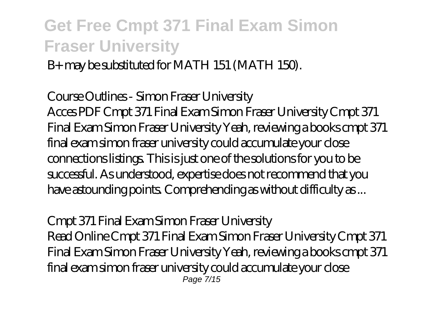B+ may be substituted for MATH 151 (MATH 150).

#### *Course Outlines - Simon Fraser University*

Acces PDF Cmpt 371 Final Exam Simon Fraser University Cmpt 371 Final Exam Simon Fraser University Yeah, reviewing a books cmpt 371 final exam simon fraser university could accumulate your close connections listings. This is just one of the solutions for you to be successful. As understood, expertise does not recommend that you have astounding points. Comprehending as without difficulty as ...

#### *Cmpt 371 Final Exam Simon Fraser University*

Read Online Cmpt 371 Final Exam Simon Fraser University Cmpt 371 Final Exam Simon Fraser University Yeah, reviewing a books cmpt 371 final exam simon fraser university could accumulate your close Page 7/15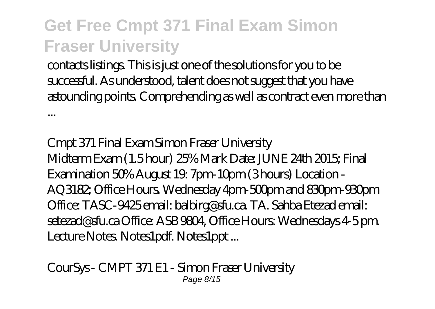contacts listings. This is just one of the solutions for you to be successful. As understood, talent does not suggest that you have astounding points. Comprehending as well as contract even more than ...

*Cmpt 371 Final Exam Simon Fraser University* Midterm Exam (1.5 hour) 25% Mark Date: JUNE 24th 2015; Final Examination 50% August 19: 7pm-10pm (3 hours) Location - AQ3182; Office Hours. Wednesday 4pm-500pm and 830pm-930pm Office: TASC-9425 email: balbirg@sfu.ca. TA. Sahba Etezad email: setezad@sfu.ca Office: ASB 9804, Office Hours: Wednesdays 4-5 pm. Lecture Notes. Notes1pdf. Notes1ppt...

*CourSys - CMPT 371 E1 - Simon Fraser University* Page 8/15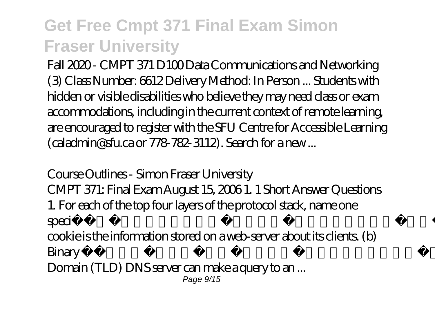Fall 2020 - CMPT 371 D100 Data Communications and Networking (3) Class Number: 6612 Delivery Method: In Person ... Students with hidden or visible disabilities who believe they may need class or exam accommodations, including in the current context of remote learning, are encouraged to register with the SFU Centre for Accessible Learning (caladmin@sfu.ca or 778-782-3112). Search for a new ...

#### *Course Outlines - Simon Fraser University*

CMPT 371: Final Exam August 15, 2006 1. 1 Short Answer Questions 1. For each of the top four layers of the protocol stack, name one specific protocol that operates at that level. 2. True or False: (a) A cookie is the information stored on a web-server about its clients. (b) Binary files can be sent unencoded over SMTP. (c) A Top-Level Domain (TLD) DNS server can make a query to an ... Page  $9/15$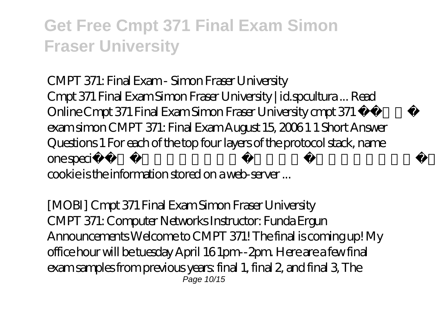#### *CMPT 371: Final Exam - Simon Fraser University*

Cmpt 371 Final Exam Simon Fraser University | id.spcultura ... Read Online Cmpt 371 Final Exam Simon Fraser University cmpt 371 final exam simon CMPT 371: Final Exam August 15, 2006 1 1 Short Answer Questions 1 For each of the top four layers of the protocol stack, name one specific protocol that operates at that level 2 True or False: (a) A cookie is the information stored on a web-server ...

*[MOBI] Cmpt 371 Final Exam Simon Fraser University* CMPT 371: Computer Networks Instructor: Funda Ergun Announcements Welcome to CMPT 371! The final is coming up! My office hour will be tuesday April 16 1pm--2pm. Here are a few final exam samples from previous years: final 1, final 2, and final 3, The Page 10/15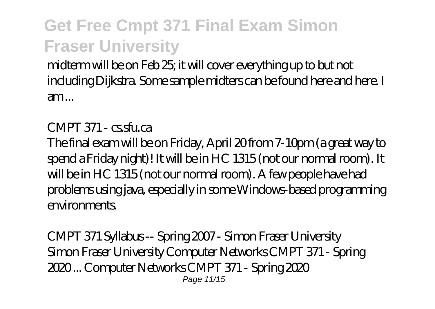midterm will be on Feb 25; it will cover everything up to but not including Dijkstra. Some sample midters can be found here and here. I am ...

#### *CMPT 371 - cs.sfu.ca*

The final exam will be on Friday, April 20 from 7-10pm (a great way to spend a Friday night)! It will be in HC 1315 (not our normal room). It will be in HC 1315 (not our normal room). A few people have had problems using java, especially in some Windows-based programming environments.

*CMPT 371 Syllabus -- Spring 2007 - Simon Fraser University* Simon Fraser University Computer Networks CMPT 371 - Spring 2020 ... Computer Networks CMPT 371 - Spring 2020 Page 11/15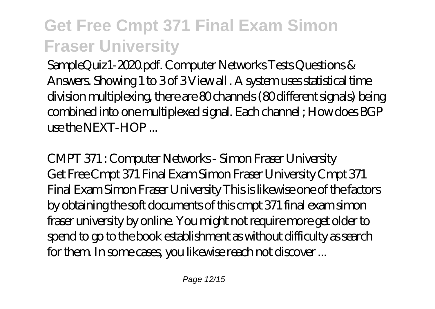SampleQuiz1-2020.pdf. Computer Networks Tests Questions & Answers. Showing 1 to 3 of 3 View all . A system uses statistical time division multiplexing, there are 80 channels (80 different signals) being combined into one multiplexed signal. Each channel ; How does BGP use the NEXT-HOP ...

*CMPT 371 : Computer Networks - Simon Fraser University* Get Free Cmpt 371 Final Exam Simon Fraser University Cmpt 371 Final Exam Simon Fraser University This is likewise one of the factors by obtaining the soft documents of this cmpt 371 final exam simon fraser university by online. You might not require more get older to spend to go to the book establishment as without difficulty as search for them. In some cases, you likewise reach not discover ...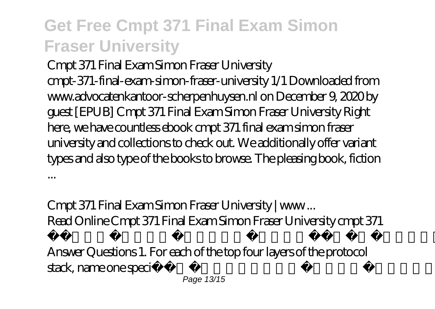*Cmpt 371 Final Exam Simon Fraser University* cmpt-371-final-exam-simon-fraser-university 1/1 Downloaded from www.advocatenkantoor-scherpenhuysen.nl on December 9, 2020 by guest [EPUB] Cmpt 371 Final Exam Simon Fraser University Right here, we have countless ebook cmpt 371 final exam simon fraser university and collections to check out. We additionally offer variant types and also type of the books to browse. The pleasing book, fiction ...

#### *Cmpt 371 Final Exam Simon Fraser University | www ...*

Read Online Cmpt 371 Final Exam Simon Fraser University cmpt 371 final exam simon CMPT 371: Final Exam August 15, 2006 1. 1 Short Answer Questions 1. For each of the top four layers of the protocol stack, name one specific protocol that operates at that level. 2. True or Page 13/15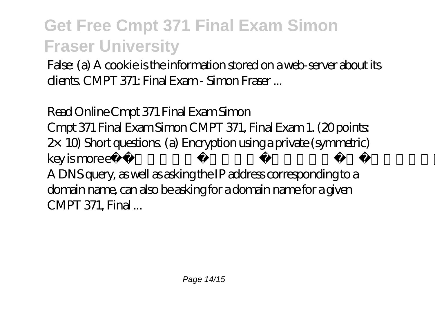False: (a) A cookie is the information stored on a web-server about its clients. CMPT 371: Final Exam - Simon Fraser ...

#### *Read Online Cmpt 371 Final Exam Simon*

Cmpt 371 Final Exam Simon CMPT 371, Final Exam 1. (20 points:  $2\times$  10) Short questions. (a) Encryption using a private (symmetric) key is more e cient than using a public key system. True or false: (b) A DNS query, as well as asking the IP address corresponding to a domain name, can also be asking for a domain name for a given CMPT 371, Final ...